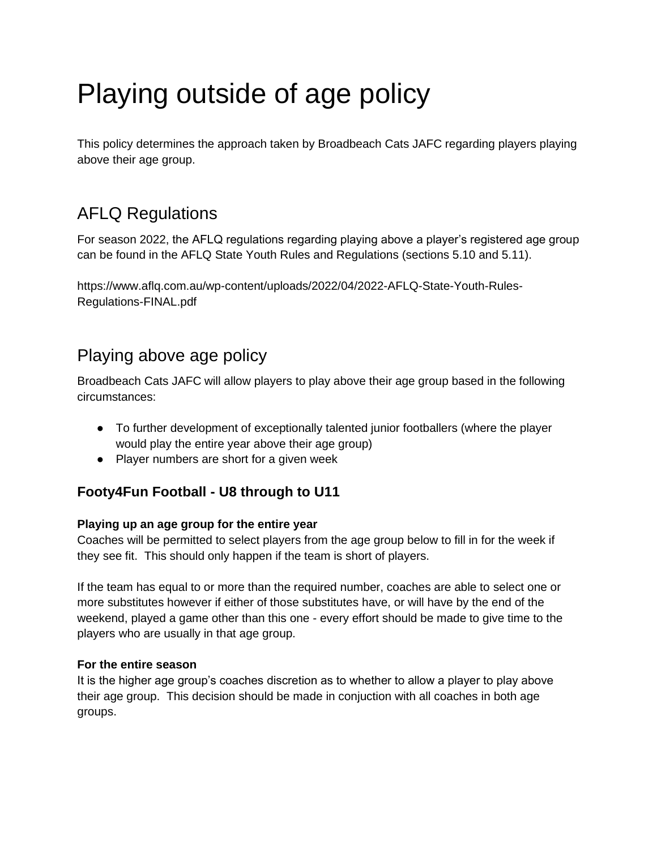# Playing outside of age policy

This policy determines the approach taken by Broadbeach Cats JAFC regarding players playing above their age group.

# AFLQ Regulations

For season 2022, the AFLQ regulations regarding playing above a player's registered age group can be found in the AFLQ State Youth Rules and Regulations (sections 5.10 and 5.11).

https://www.aflq.com.au/wp-content/uploads/2022/04/2022-AFLQ-State-Youth-Rules-Regulations-FINAL.pdf

## Playing above age policy

Broadbeach Cats JAFC will allow players to play above their age group based in the following circumstances:

- To further development of exceptionally talented junior footballers (where the player would play the entire year above their age group)
- Player numbers are short for a given week

## **Footy4Fun Football - U8 through to U11**

#### **Playing up an age group for the entire year**

Coaches will be permitted to select players from the age group below to fill in for the week if they see fit. This should only happen if the team is short of players.

If the team has equal to or more than the required number, coaches are able to select one or more substitutes however if either of those substitutes have, or will have by the end of the weekend, played a game other than this one - every effort should be made to give time to the players who are usually in that age group.

#### **For the entire season**

It is the higher age group's coaches discretion as to whether to allow a player to play above their age group. This decision should be made in conjuction with all coaches in both age groups.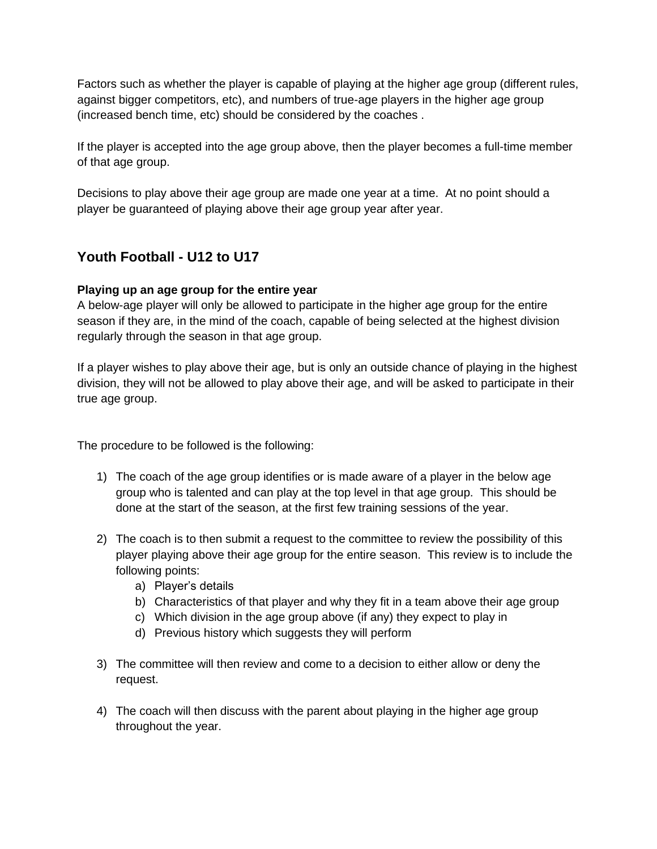Factors such as whether the player is capable of playing at the higher age group (different rules, against bigger competitors, etc), and numbers of true-age players in the higher age group (increased bench time, etc) should be considered by the coaches .

If the player is accepted into the age group above, then the player becomes a full-time member of that age group.

Decisions to play above their age group are made one year at a time. At no point should a player be guaranteed of playing above their age group year after year.

### **Youth Football - U12 to U17**

#### **Playing up an age group for the entire year**

A below-age player will only be allowed to participate in the higher age group for the entire season if they are, in the mind of the coach, capable of being selected at the highest division regularly through the season in that age group.

If a player wishes to play above their age, but is only an outside chance of playing in the highest division, they will not be allowed to play above their age, and will be asked to participate in their true age group.

The procedure to be followed is the following:

- 1) The coach of the age group identifies or is made aware of a player in the below age group who is talented and can play at the top level in that age group. This should be done at the start of the season, at the first few training sessions of the year.
- 2) The coach is to then submit a request to the committee to review the possibility of this player playing above their age group for the entire season. This review is to include the following points:
	- a) Player's details
	- b) Characteristics of that player and why they fit in a team above their age group
	- c) Which division in the age group above (if any) they expect to play in
	- d) Previous history which suggests they will perform
- 3) The committee will then review and come to a decision to either allow or deny the request.
- 4) The coach will then discuss with the parent about playing in the higher age group throughout the year.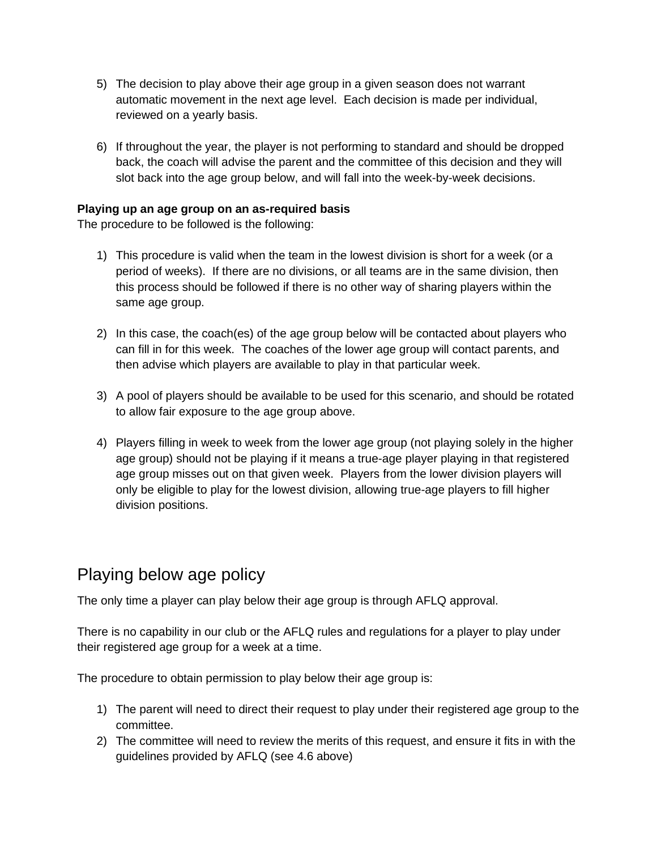- 5) The decision to play above their age group in a given season does not warrant automatic movement in the next age level. Each decision is made per individual, reviewed on a yearly basis.
- 6) If throughout the year, the player is not performing to standard and should be dropped back, the coach will advise the parent and the committee of this decision and they will slot back into the age group below, and will fall into the week-by-week decisions.

#### **Playing up an age group on an as-required basis**

The procedure to be followed is the following:

- 1) This procedure is valid when the team in the lowest division is short for a week (or a period of weeks). If there are no divisions, or all teams are in the same division, then this process should be followed if there is no other way of sharing players within the same age group.
- 2) In this case, the coach(es) of the age group below will be contacted about players who can fill in for this week. The coaches of the lower age group will contact parents, and then advise which players are available to play in that particular week.
- 3) A pool of players should be available to be used for this scenario, and should be rotated to allow fair exposure to the age group above.
- 4) Players filling in week to week from the lower age group (not playing solely in the higher age group) should not be playing if it means a true-age player playing in that registered age group misses out on that given week. Players from the lower division players will only be eligible to play for the lowest division, allowing true-age players to fill higher division positions.

## Playing below age policy

The only time a player can play below their age group is through AFLQ approval.

There is no capability in our club or the AFLQ rules and regulations for a player to play under their registered age group for a week at a time.

The procedure to obtain permission to play below their age group is:

- 1) The parent will need to direct their request to play under their registered age group to the committee.
- 2) The committee will need to review the merits of this request, and ensure it fits in with the guidelines provided by AFLQ (see 4.6 above)